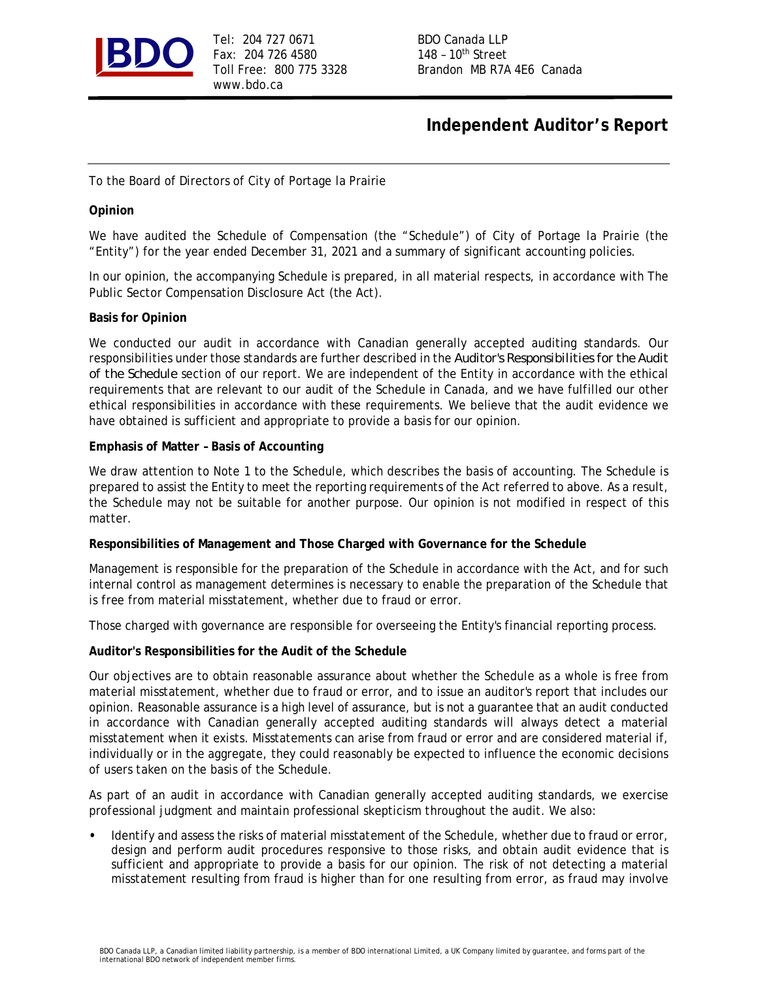

Tel: 204 727 0671 BDO Canada LLP Fax: 204 726 4580 148 - 10<sup>th</sup> Street www.bdo.ca

Toll Free: 800 775 3328 Brandon MB R7A 4E6 Canada

# **Independent Auditor's Report**

To the Board of Directors of City of Portage la Prairie

#### **Opinion**

We have audited the Schedule of Compensation (the "Schedule") of City of Portage la Prairie (the "Entity") for the year ended December 31, 2021 and a summary of significant accounting policies.

In our opinion, the accompanying Schedule is prepared, in all material respects, in accordance with The Public Sector Compensation Disclosure Act (the Act).

#### **Basis for Opinion**

We conducted our audit in accordance with Canadian generally accepted auditing standards. Our responsibilities under those standards are further described in the *Auditor's Responsibilities for the Audit of the Schedule* section of our report. We are independent of the Entity in accordance with the ethical requirements that are relevant to our audit of the Schedule in Canada, and we have fulfilled our other ethical responsibilities in accordance with these requirements. We believe that the audit evidence we have obtained is sufficient and appropriate to provide a basis for our opinion.

#### **Emphasis of Matter – Basis of Accounting**

We draw attention to Note 1 to the Schedule, which describes the basis of accounting. The Schedule is prepared to assist the Entity to meet the reporting requirements of the Act referred to above. As a result, the Schedule may not be suitable for another purpose. Our opinion is not modified in respect of this matter.

**Responsibilities of Management and Those Charged with Governance for the Schedule**

Management is responsible for the preparation of the Schedule in accordance with the Act, and for such internal control as management determines is necessary to enable the preparation of the Schedule that is free from material misstatement, whether due to fraud or error.

Those charged with governance are responsible for overseeing the Entity's financial reporting process.

**Auditor's Responsibilities for the Audit of the Schedule**

Our objectives are to obtain reasonable assurance about whether the Schedule as a whole is free from material misstatement, whether due to fraud or error, and to issue an auditor's report that includes our opinion. Reasonable assurance is a high level of assurance, but is not a guarantee that an audit conducted in accordance with Canadian generally accepted auditing standards will always detect a material misstatement when it exists. Misstatements can arise from fraud or error and are considered material if, individually or in the aggregate, they could reasonably be expected to influence the economic decisions of users taken on the basis of the Schedule.

As part of an audit in accordance with Canadian generally accepted auditing standards, we exercise professional judgment and maintain professional skepticism throughout the audit. We also:

**•** Identify and assess the risks of material misstatement of the Schedule, whether due to fraud or error, design and perform audit procedures responsive to those risks, and obtain audit evidence that is sufficient and appropriate to provide a basis for our opinion. The risk of not detecting a material misstatement resulting from fraud is higher than for one resulting from error, as fraud may involve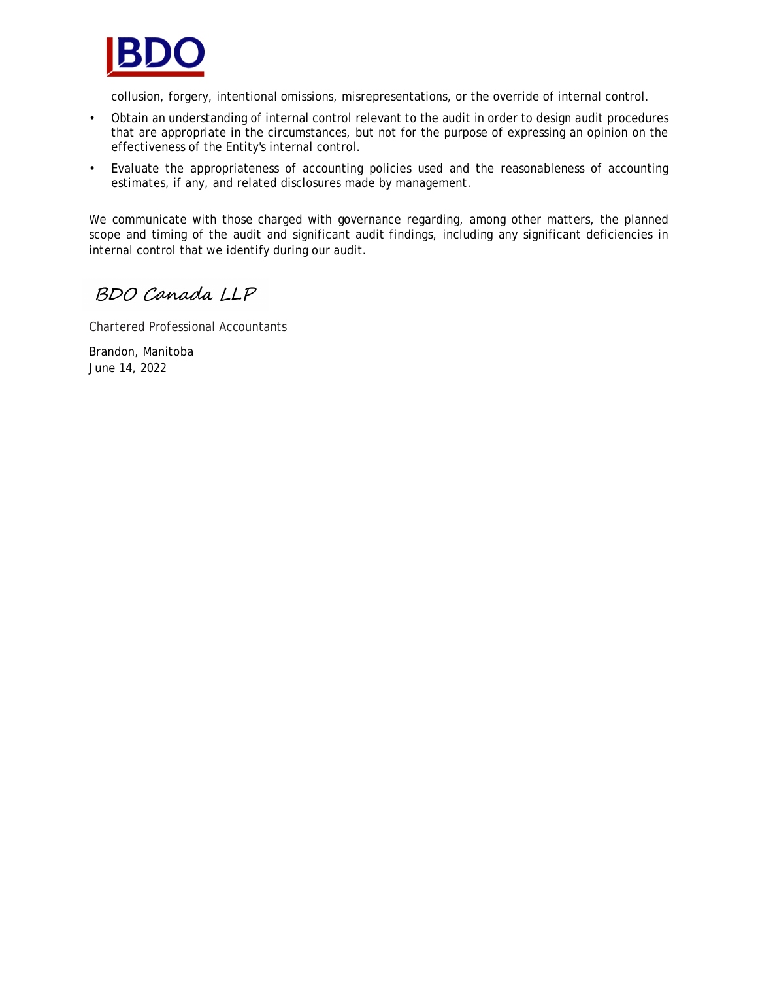

collusion, forgery, intentional omissions, misrepresentations, or the override of internal control.

- Obtain an understanding of internal control relevant to the audit in order to design audit procedures that are appropriate in the circumstances, but not for the purpose of expressing an opinion on the effectiveness of the Entity's internal control.
- Evaluate the appropriateness of accounting policies used and the reasonableness of accounting estimates, if any, and related disclosures made by management.

We communicate with those charged with governance regarding, among other matters, the planned scope and timing of the audit and significant audit findings, including any significant deficiencies in internal control that we identify during our audit.

BDO Canada LLP

Chartered Professional Accountants

Brandon, Manitoba June 14, 2022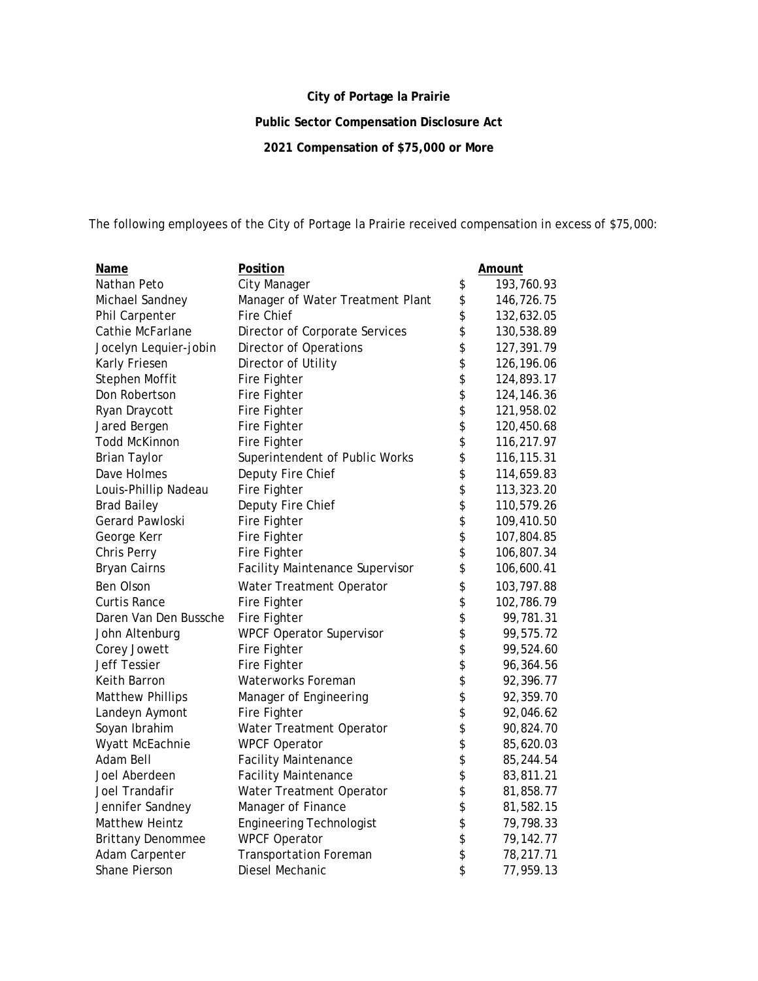## **City of Portage la Prairie**

**Public Sector Compensation Disclosure Act**

**2021 Compensation of \$75,000 or More**

The following employees of the City of Portage la Prairie received compensation in excess of \$75,000:

| <u>Name</u>              | Position                         |          | <u>Amount</u> |
|--------------------------|----------------------------------|----------|---------------|
| Nathan Peto              | City Manager                     | \$       | 193,760.93    |
| Michael Sandney          | Manager of Water Treatment Plant | \$       | 146,726.75    |
| Phil Carpenter           | Fire Chief                       | \$       | 132,632.05    |
| Cathie McFarlane         | Director of Corporate Services   | \$       | 130,538.89    |
| Jocelyn Lequier-jobin    | Director of Operations           | \$       | 127,391.79    |
| Karly Friesen            | Director of Utility              | \$       | 126,196.06    |
| Stephen Moffit           | Fire Fighter                     |          | 124,893.17    |
| Don Robertson            | Fire Fighter                     | \$\$\$   | 124,146.36    |
| Ryan Draycott            | Fire Fighter                     |          | 121,958.02    |
| Jared Bergen             | Fire Fighter                     |          | 120,450.68    |
| <b>Todd McKinnon</b>     | Fire Fighter                     | \$       | 116,217.97    |
| <b>Brian Taylor</b>      | Superintendent of Public Works   | \$       | 116,115.31    |
| Dave Holmes              | Deputy Fire Chief                | \$       | 114,659.83    |
| Louis-Phillip Nadeau     | Fire Fighter                     | \$       | 113,323.20    |
| <b>Brad Bailey</b>       | Deputy Fire Chief                | \$       | 110,579.26    |
| Gerard Pawloski          | Fire Fighter                     | \$       | 109,410.50    |
| George Kerr              | Fire Fighter                     | \$       | 107,804.85    |
| Chris Perry              | Fire Fighter                     | \$       | 106,807.34    |
| <b>Bryan Cairns</b>      | Facility Maintenance Supervisor  | \$       | 106,600.41    |
| Ben Olson                | Water Treatment Operator         | \$       | 103,797.88    |
| <b>Curtis Rance</b>      | Fire Fighter                     | \$       | 102,786.79    |
| Daren Van Den Bussche    | Fire Fighter                     |          | 99,781.31     |
| John Altenburg           | <b>WPCF Operator Supervisor</b>  | \$\$     | 99,575.72     |
| Corey Jowett             | Fire Fighter                     |          | 99,524.60     |
| <b>Jeff Tessier</b>      | Fire Fighter                     | \$       | 96,364.56     |
| Keith Barron             | Waterworks Foreman               | \$       | 92,396.77     |
| <b>Matthew Phillips</b>  | Manager of Engineering           | \$       | 92,359.70     |
| Landeyn Aymont           | Fire Fighter                     | \$       | 92,046.62     |
| Soyan Ibrahim            | Water Treatment Operator         | \$       | 90,824.70     |
| Wyatt McEachnie          | <b>WPCF Operator</b>             |          | 85,620.03     |
| Adam Bell                | <b>Facility Maintenance</b>      | \$<br>\$ | 85,244.54     |
| Joel Aberdeen            | <b>Facility Maintenance</b>      |          | 83,811.21     |
| Joel Trandafir           | Water Treatment Operator         | \$\$     | 81,858.77     |
| Jennifer Sandney         | Manager of Finance               |          | 81,582.15     |
| Matthew Heintz           | <b>Engineering Technologist</b>  | \$       | 79,798.33     |
| <b>Brittany Denommee</b> | <b>WPCF Operator</b>             | \$       | 79,142.77     |
| Adam Carpenter           | <b>Transportation Foreman</b>    | \$       | 78,217.71     |
| Shane Pierson            | Diesel Mechanic                  | \$       | 77,959.13     |